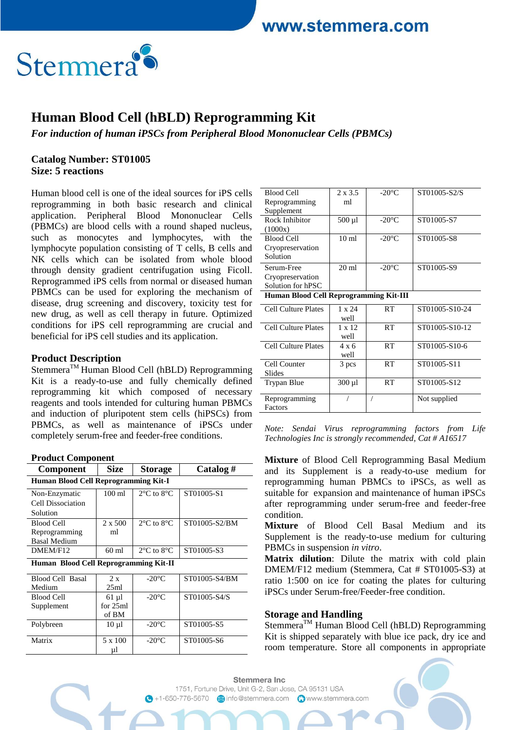$2 x 35$ 

 $20°C$   $ST01005S2$ 



# **Human Blood Cell (hBLD) Reprogramming Kit**

*For induction of human iPSCs from Peripheral Blood Mononuclear Cells (PBMCs)*

 $D1 - 1C - 11$ 

Factors

#### **Catalog Number: ST01005 Size: 5 reactions**

Human blood cell is one of the ideal sources for iPS cells reprogramming in both basic research and clinical application. Peripheral Blood Mononuclear Cells (PBMCs) are blood cells with a round shaped nucleus, such as monocytes and lymphocytes, with the lymphocyte population consisting of T cells, B cells and NK cells which can be isolated from whole blood through density gradient centrifugation using Ficoll. Reprogrammed iPS cells from normal or diseased human PBMCs can be used for exploring the mechanism of disease, drug screening and discovery, toxicity test for new drug, as well as cell therapy in future. Optimized conditions for iPS cell reprogramming are crucial and beneficial for iPS cell studies and its application.

#### **Product Description**

Stemmera<sup>™</sup> Human Blood Cell (hBLD) Reprogramming Kit is a ready-to-use and fully chemically defined reprogramming kit which composed of necessary reagents and tools intended for culturing human PBMCs and induction of pluripotent stem cells (hiPSCs) from PBMCs, as well as maintenance of iPSCs under completely serum-free and feeder-free conditions.

| <b>Component</b>                      | <b>Size</b>      | <b>Storage</b>                 | Catalog#      |  |  |  |
|---------------------------------------|------------------|--------------------------------|---------------|--|--|--|
| Human Blood Cell Reprogramming Kit-I  |                  |                                |               |  |  |  |
| Non-Enzymatic                         | $100 \text{ ml}$ | $2^{\circ}$ C to $8^{\circ}$ C | ST01005-S1    |  |  |  |
| Cell Dissociation                     |                  |                                |               |  |  |  |
| Solution                              |                  |                                |               |  |  |  |
| <b>Blood Cell</b>                     | $2 \times 500$   | $2^{\circ}$ C to $8^{\circ}$ C | ST01005-S2/BM |  |  |  |
| Reprogramming                         | ml               |                                |               |  |  |  |
| <b>Basal Medium</b>                   |                  |                                |               |  |  |  |
| DMEM/F12                              | $60$ ml          | $2^{\circ}$ C to $8^{\circ}$ C | ST01005-S3    |  |  |  |
| Human Blood Cell Reprogramming Kit-II |                  |                                |               |  |  |  |
| <b>Blood Cell Basal</b>               | 2x               | $-20^{\circ}$ C                | ST01005-S4/BM |  |  |  |
| Medium                                | 25ml             |                                |               |  |  |  |
| <b>Blood Cell</b>                     | $61 \mu l$       | $-20^{\circ}$ C                | ST01005-S4/S  |  |  |  |
| Supplement                            | for $25ml$       |                                |               |  |  |  |
|                                       | of BM            |                                |               |  |  |  |
| Polybreen                             | $10 \mu l$       | $-20^{\circ}$ C                | ST01005-S5    |  |  |  |
| Matrix                                | 5 x 100          | $-20^{\circ}$ C                | ST01005-S6    |  |  |  |
|                                       | μl               |                                |               |  |  |  |

|                                        | ر.ر مد           | -20 C           | ນ ⊥∨⊥∨∪ບ−ນ∠⊭ນ  |
|----------------------------------------|------------------|-----------------|----------------|
| Reprogramming                          | ml               |                 |                |
| Supplement                             |                  |                 |                |
| Rock Inhibitor                         | 500 µl           | $-20^{\circ}$ C | ST01005-S7     |
| (1000x)                                |                  |                 |                |
| <b>Blood Cell</b>                      | 10 <sub>ml</sub> | $-20^{\circ}$ C | ST01005-S8     |
| Cryopreservation                       |                  |                 |                |
| Solution                               |                  |                 |                |
| Serum-Free                             | $20 \text{ ml}$  | $-20^{\circ}$ C | ST01005-S9     |
| Cryopreservation                       |                  |                 |                |
| Solution for hPSC                      |                  |                 |                |
| Human Blood Cell Reprogramming Kit-III |                  |                 |                |
| <b>Cell Culture Plates</b>             | $1 \times 24$    | RT              | ST01005-S10-24 |
|                                        | well             |                 |                |
| <b>Cell Culture Plates</b>             | $1 \times 12$    | RT              | ST01005-S10-12 |
|                                        | well             |                 |                |
| <b>Cell Culture Plates</b>             | $4 \times 6$     | RT              | ST01005-S10-6  |
|                                        | well             |                 |                |
| Cell Counter                           | 3 pcs            | RT              | ST01005-S11    |
| Slides                                 |                  |                 |                |
| Trypan Blue                            | 300 µl           | RT              | ST01005-S12    |
|                                        |                  |                 |                |
| Reprogramming                          |                  |                 | Not supplied   |

*Note: Sendai Virus reprogramming factors from Life Technologies Inc is strongly recommended, Cat # A16517*

**Mixture** of Blood Cell Reprogramming Basal Medium and its Supplement is a ready-to-use medium for reprogramming human PBMCs to iPSCs, as well as suitable for expansion and maintenance of human iPSCs after reprogramming under serum-free and feeder-free condition.

**Mixture** of Blood Cell Basal Medium and its Supplement is the ready-to-use medium for culturing PBMCs in suspension *in vitro*.

**Matrix dilution**: Dilute the matrix with cold plain DMEM/F12 medium (Stemmera, Cat # ST01005-S3) at ratio 1:500 on ice for coating the plates for culturing iPSCs under Serum-free/Feeder-free condition.

#### **Storage and Handling**

 $Stemmera<sup>TM</sup> Human Blood Cell (hBLD) Reprogramming$ Kit is shipped separately with blue ice pack, dry ice and room temperature. Store all components in appropriate

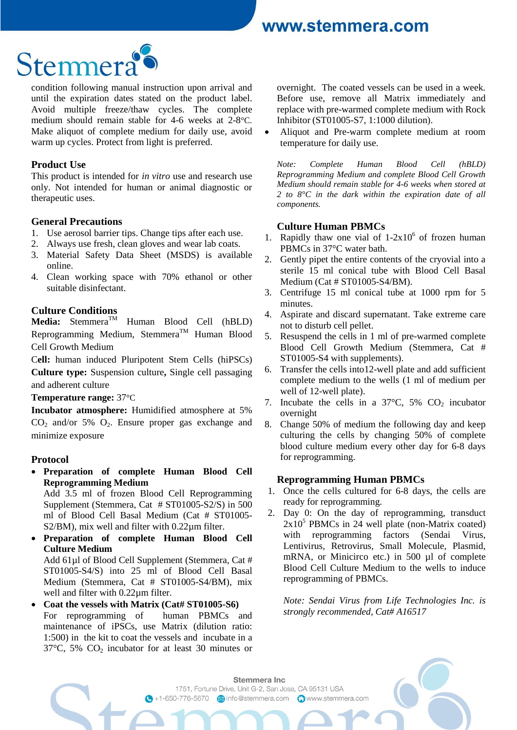

condition following manual instruction upon arrival and until the expiration dates stated on the product label. Avoid multiple freeze/thaw cycles. The complete medium should remain stable for 4-6 weeks at 2-8°C. Make aliquot of complete medium for daily use, avoid warm up cycles. Protect from light is preferred.

#### **Product Use**

This product is intended for *in vitro* use and research use only. Not intended for human or animal diagnostic or therapeutic uses.

### **General Precautions**

- 1. Use aerosol barrier tips. Change tips after each use.
- 2. Always use fresh, clean gloves and wear lab coats.
- 3. Material Safety Data Sheet (MSDS) is available online.
- 4. Clean working space with 70% ethanol or other suitable disinfectant.

# **Culture Conditions**<br>**Media:** Stemmera<sup>TM</sup>

Human Blood Cell (hBLD) Reprogramming Medium, Stemmera<sup>TM</sup> Human Blood Cell Growth Medium

C**ell:** human induced Pluripotent Stem Cells (hiPSCs) **Culture type:** Suspension culture**,** Single cell passaging and adherent culture

**Temperature range:** 37°C

**Incubator atmosphere:** Humidified atmosphere at 5%  $CO<sub>2</sub>$  and/or 5%  $O<sub>2</sub>$ . Ensure proper gas exchange and minimize exposure

### **Protocol**

 **Preparation of complete Human Blood Cell Reprogramming Medium**

Add 3.5 ml of frozen Blood Cell Reprogramming Supplement (Stemmera, Cat # ST01005-S2/S) in 500 ml of Blood Cell Basal Medium (Cat # ST01005- S2/BM), mix well and filter with 0.22µm filter.

 **Preparation of complete Human Blood Cell Culture Medium**

Add 61µl of Blood Cell Supplement (Stemmera, Cat # ST01005-S4/S) into 25 ml of Blood Cell Basal Medium (Stemmera, Cat # ST01005-S4/BM), mix well and filter with 0.22µm filter.

 **Coat the vessels with Matrix (Cat# ST01005-S6)** For reprogramming of human PBMCs and maintenance of iPSCs, use Matrix (dilution ratio: 1:500) in the kit to coat the vessels and incubate in a  $37^{\circ}$ C, 5% CO<sub>2</sub> incubator for at least 30 minutes or overnight. The coated vessels can be used in a week. Before use, remove all Matrix immediately and replace with pre-warmed complete medium with Rock Inhibitor (ST01005-S7, 1:1000 dilution).

 Aliquot and Pre-warm complete medium at room temperature for daily use.

*Note: Complete Human Blood Cell (hBLD) Reprogramming Medium and complete Blood Cell Growth Medium should remain stable for 4-6 weeks when stored at 2 to 8°C in the dark within the expiration date of all components.*

### **Culture Human PBMCs**

- 1. Rapidly thaw one vial of  $1-2x10^6$  of frozen human PBMCs in 37°C water bath.
- 2. Gently pipet the entire contents of the cryovial into a sterile 15 ml conical tube with Blood Cell Basal Medium (Cat # ST01005-S4/BM).
- 3. Centrifuge 15 ml conical tube at 1000 rpm for 5 minutes.
- 4. Aspirate and discard supernatant. Take extreme care not to disturb cell pellet.
- 5. Resuspend the cells in 1 ml of pre-warmed complete Blood Cell Growth Medium (Stemmera, Cat # ST01005-S4 with supplements).
- 6. Transfer the cells into12-well plate and add sufficient complete medium to the wells (1 ml of medium per well of 12-well plate).
- 7. Incubate the cells in a  $37^{\circ}$ C, 5% CO<sub>2</sub> incubator overnight
- 8. Change 50% of medium the following day and keep culturing the cells by changing 50% of complete blood culture medium every other day for 6-8 days for reprogramming.

### **Reprogramming Human PBMCs**

- 1. Once the cells cultured for 6-8 days, the cells are ready for reprogramming.
- 2. Day 0: On the day of reprogramming, transduct  $2x10<sup>5</sup>$  PBMCs in 24 well plate (non-Matrix coated) with reprogramming factors (Sendai Virus, Lentivirus, Retrovirus, Small Molecule, Plasmid, mRNA, or Minicirco etc.) in 500 ul of complete Blood Cell Culture Medium to the wells to induce reprogramming of PBMCs.

*Note: Sendai Virus from Life Technologies Inc. is strongly recommended, Cat# A16517*

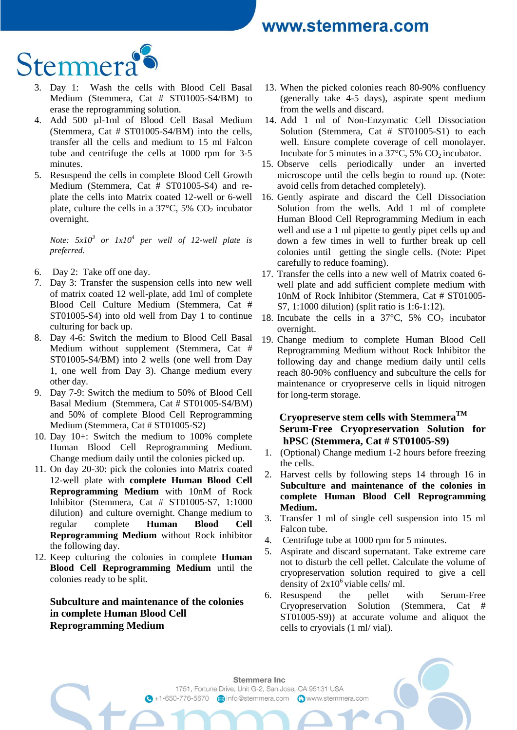

- 3. Day 1: Wash the cells with Blood Cell Basal Medium (Stemmera, Cat # ST01005-S4/BM) to erase the reprogramming solution.
- 4. Add 500 µl-1ml of Blood Cell Basal Medium (Stemmera, Cat # ST01005-S4/BM) into the cells, transfer all the cells and medium to 15 ml Falcon tube and centrifuge the cells at 1000 rpm for 3-5 minutes.
- 5. Resuspend the cells in complete Blood Cell Growth Medium (Stemmera, Cat # ST01005-S4) and replate the cells into Matrix coated 12-well or 6-well plate, culture the cells in a  $37^{\circ}$ C, 5% CO<sub>2</sub> incubator overnight.

*Note:*  $5x10^3$  *or*  $1x10^4$  *per well of 12-well plate is preferred.* 

- 6. Day 2: Take off one day.
- 7. Day 3: Transfer the suspension cells into new well of matrix coated 12 well-plate, add 1ml of complete Blood Cell Culture Medium (Stemmera, Cat # ST01005-S4) into old well from Day 1 to continue culturing for back up.
- 8. Day 4-6: Switch the medium to Blood Cell Basal Medium without supplement (Stemmera, Cat # ST01005-S4/BM) into 2 wells (one well from Day 1, one well from Day 3). Change medium every other day.
- 9. Day 7-9: Switch the medium to 50% of Blood Cell Basal Medium (Stemmera, Cat # ST01005-S4/BM) and 50% of complete Blood Cell Reprogramming Medium (Stemmera, Cat # ST01005-S2)
- 10. Day 10+: Switch the medium to 100% complete Human Blood Cell Reprogramming Medium. Change medium daily until the colonies picked up.
- 11. On day 20-30: pick the colonies into Matrix coated 12-well plate with **complete Human Blood Cell Reprogramming Medium** with 10nM of Rock Inhibitor (Stemmera, Cat # ST01005-S7, 1:1000 dilution) and culture overnight. Change medium to regular complete **Human Blood Cell Reprogramming Medium** without Rock inhibitor the following day.
- 12. Keep culturing the colonies in complete **Human Blood Cell Reprogramming Medium** until the colonies ready to be split.

**Subculture and maintenance of the colonies in complete Human Blood Cell Reprogramming Medium**

- 13. When the picked colonies reach 80-90% confluency (generally take 4-5 days), aspirate spent medium from the wells and discard.
- 14. Add 1 ml of Non-Enzymatic Cell Dissociation Solution (Stemmera, Cat # ST01005-S1) to each well. Ensure complete coverage of cell monolayer. Incubate for 5 minutes in a  $37^{\circ}$ C, 5% CO<sub>2</sub> incubator.
- 15. Observe cells periodically under an inverted microscope until the cells begin to round up. (Note: avoid cells from detached completely).
- 16. Gently aspirate and discard the Cell Dissociation Solution from the wells. Add 1 ml of complete Human Blood Cell Reprogramming Medium in each well and use a 1 ml pipette to gently pipet cells up and down a few times in well to further break up cell colonies until getting the single cells. (Note: Pipet carefully to reduce foaming).
- 17. Transfer the cells into a new well of Matrix coated 6 well plate and add sufficient complete medium with 10nM of Rock Inhibitor (Stemmera, Cat # ST01005- S7, 1:1000 dilution) (split ratio is 1:6-1:12).
- 18. Incubate the cells in a  $37^{\circ}$ C,  $5\%$  CO<sub>2</sub> incubator overnight.
- 19. Change medium to complete Human Blood Cell Reprogramming Medium without Rock Inhibitor the following day and change medium daily until cells reach 80-90% confluency and subculture the cells for maintenance or cryopreserve cells in liquid nitrogen for long-term storage.

## **Cryopreserve stem cells with StemmeraTM Serum-Free Cryopreservation Solution for hPSC (Stemmera, Cat # ST01005-S9)**

- 1. (Optional) Change medium 1-2 hours before freezing the cells.
- 2. Harvest cells by following steps 14 through 16 in **Subculture and maintenance of the colonies in complete Human Blood Cell Reprogramming Medium.**
- 3. Transfer 1 ml of single cell suspension into 15 ml Falcon tube.
- 4. Centrifuge tube at 1000 rpm for 5 minutes.
- 5. Aspirate and discard supernatant. Take extreme care not to disturb the cell pellet. Calculate the volume of cryopreservation solution required to give a cell density of  $2x10^6$  viable cells/ ml.
- 6. Resuspend the pellet with Serum-Free Cryopreservation Solution (Stemmera, Cat # ST01005-S9)) at accurate volume and aliquot the cells to cryovials (1 ml/ vial).

Stemmera Inc. 1751, Fortune Drive, Unit G-2, San Jose, CA 95131 USA 4 +1-650-776-5670 a info@stemmera.com www.stemmera.com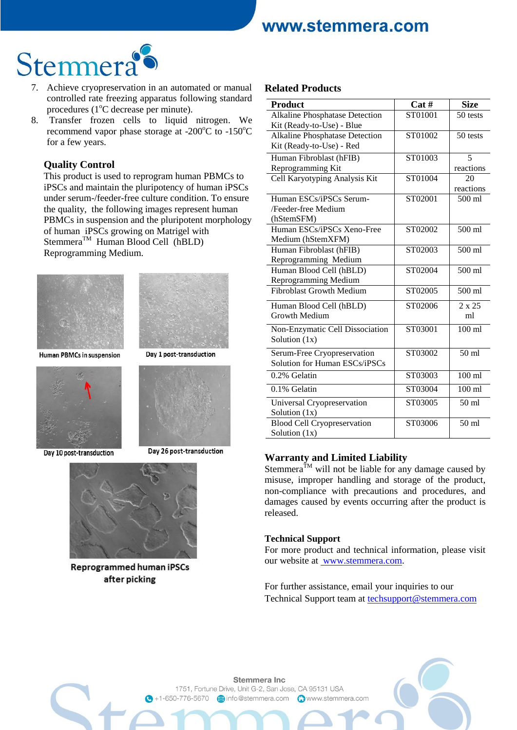

- 7. Achieve cryopreservation in an automated or manual controlled rate freezing apparatus following standard procedures ( $1^{\circ}$ C decrease per minute).
- 8. Transfer frozen cells to liquid nitrogen. We recommend vapor phase storage at  $-200^{\circ}$ C to  $-150^{\circ}$ C for a few years.

#### **Quality Control**

This product is used to reprogram human PBMCs to iPSCs and maintain the pluripotency of human iPSCs under serum-/feeder-free culture condition. To ensure the quality, the following images represent human PBMCs in suspension and the pluripotent morphology of human iPSCs growing on Matrigel with  $Stemmera<sup>TM</sup> Human Blood Cell (hBLD)$ Reprogramming Medium.





Human PBMCs in suspension



Day 10 post-transduction



Day 26 post-transduction



**Reprogrammed human iPSCs** after picking

#### **Related Products**

| <b>Product</b>                        | Cat#    | <b>Size</b>      |
|---------------------------------------|---------|------------------|
| <b>Alkaline Phosphatase Detection</b> | ST01001 | 50 tests         |
| Kit (Ready-to-Use) - Blue             |         |                  |
| Alkaline Phosphatase Detection        | ST01002 | 50 tests         |
| Kit (Ready-to-Use) - Red              |         |                  |
| Human Fibroblast (hFIB)               | ST01003 | 5                |
| Reprogramming Kit                     |         | reactions        |
| Cell Karyotyping Analysis Kit         | ST01004 | 20               |
|                                       |         | reactions        |
| Human ESCs/iPSCs Serum-               | ST02001 | 500 ml           |
| /Feeder-free Medium                   |         |                  |
| (hStemSFM)                            |         |                  |
| Human ESCs/iPSCs Xeno-Free            | ST02002 | 500 ml           |
| Medium (hStemXFM)                     |         |                  |
| Human Fibroblast (hFIB)               | ST02003 | 500 ml           |
| Reprogramming Medium                  |         |                  |
| Human Blood Cell (hBLD)               | ST02004 | $500$ ml         |
| Reprogramming Medium                  |         |                  |
| <b>Fibroblast Growth Medium</b>       | ST02005 | $500$ ml         |
| Human Blood Cell (hBLD)               | ST02006 | $2 \times 25$    |
| <b>Growth Medium</b>                  |         | ml               |
| Non-Enzymatic Cell Dissociation       | ST03001 | $100$ ml         |
| Solution $(1x)$                       |         |                  |
| Serum-Free Cryopreservation           | ST03002 | 50 ml            |
| Solution for Human ESCs/iPSCs         |         |                  |
| 0.2% Gelatin                          | ST03003 | $100$ ml         |
| 0.1% Gelatin                          | ST03004 | $100$ ml         |
| Universal Cryopreservation            | ST03005 | 50 <sub>ml</sub> |
| Solution $(1x)$                       |         |                  |
| <b>Blood Cell Cryopreservation</b>    | ST03006 | 50 ml            |
| Solution (1x)                         |         |                  |

### **Warranty and Limited Liability**

Stemmera<sup>TM</sup> will not be liable for any damage caused by misuse, improper handling and storage of the product, non-compliance with precautions and procedures, and damages caused by events occurring after the product is released.

#### **Technical Support**

For more product and technical information, please visit our website at www.stemmera.com.

For further assistance, email your inquiries to our Technical Support team at [techsupport@stemmera.com](mailto:techsupport@stemmera.com)